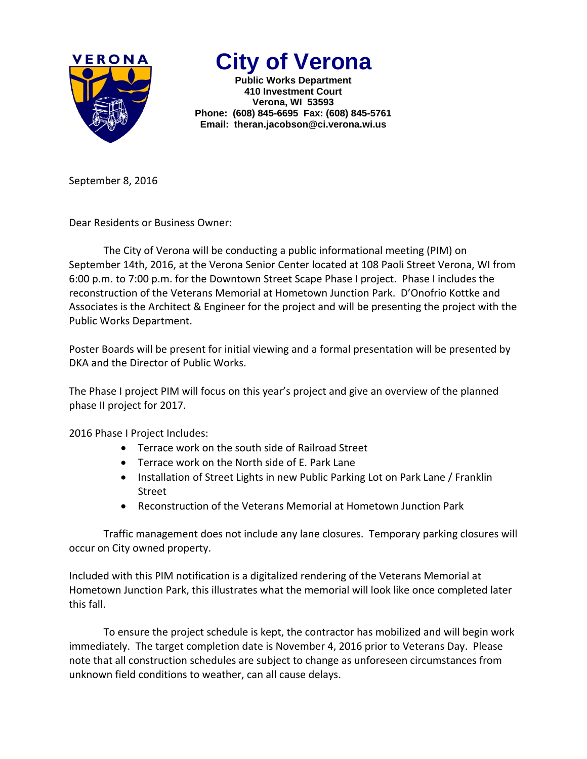

## **City of Verona**

**Public Works Department 410 Investment Court Verona, WI 53593 Phone: (608) 845-6695 Fax: (608) 845-5761 Email: theran.jacobson@ci.verona.wi.us**

September 8, 2016

Dear Residents or Business Owner:

The City of Verona will be conducting a public informational meeting (PIM) on September 14th, 2016, at the Verona Senior Center located at 108 Paoli Street Verona, WI from 6:00 p.m. to 7:00 p.m. for the Downtown Street Scape Phase I project. Phase I includes the reconstruction of the Veterans Memorial at Hometown Junction Park. D'Onofrio Kottke and Associates is the Architect & Engineer for the project and will be presenting the project with the Public Works Department.

Poster Boards will be present for initial viewing and a formal presentation will be presented by DKA and the Director of Public Works.

The Phase I project PIM will focus on this year's project and give an overview of the planned phase II project for 2017.

2016 Phase I Project Includes:

- Terrace work on the south side of Railroad Street
- Terrace work on the North side of E. Park Lane
- Installation of Street Lights in new Public Parking Lot on Park Lane / Franklin Street
- Reconstruction of the Veterans Memorial at Hometown Junction Park

Traffic management does not include any lane closures. Temporary parking closures will occur on City owned property.

Included with this PIM notification is a digitalized rendering of the Veterans Memorial at Hometown Junction Park, this illustrates what the memorial will look like once completed later this fall.

To ensure the project schedule is kept, the contractor has mobilized and will begin work immediately. The target completion date is November 4, 2016 prior to Veterans Day. Please note that all construction schedules are subject to change as unforeseen circumstances from unknown field conditions to weather, can all cause delays.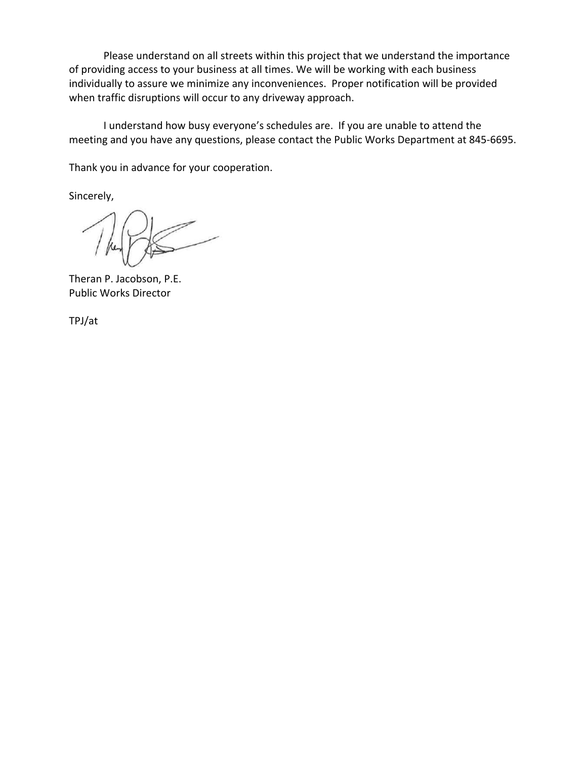Please understand on all streets within this project that we understand the importance of providing access to your business at all times. We will be working with each business individually to assure we minimize any inconveniences. Proper notification will be provided when traffic disruptions will occur to any driveway approach.

I understand how busy everyone's schedules are. If you are unable to attend the meeting and you have any questions, please contact the Public Works Department at 845‐6695.

Thank you in advance for your cooperation.

Sincerely,

Theran P. Jacobson, P.E. Public Works Director

TPJ/at